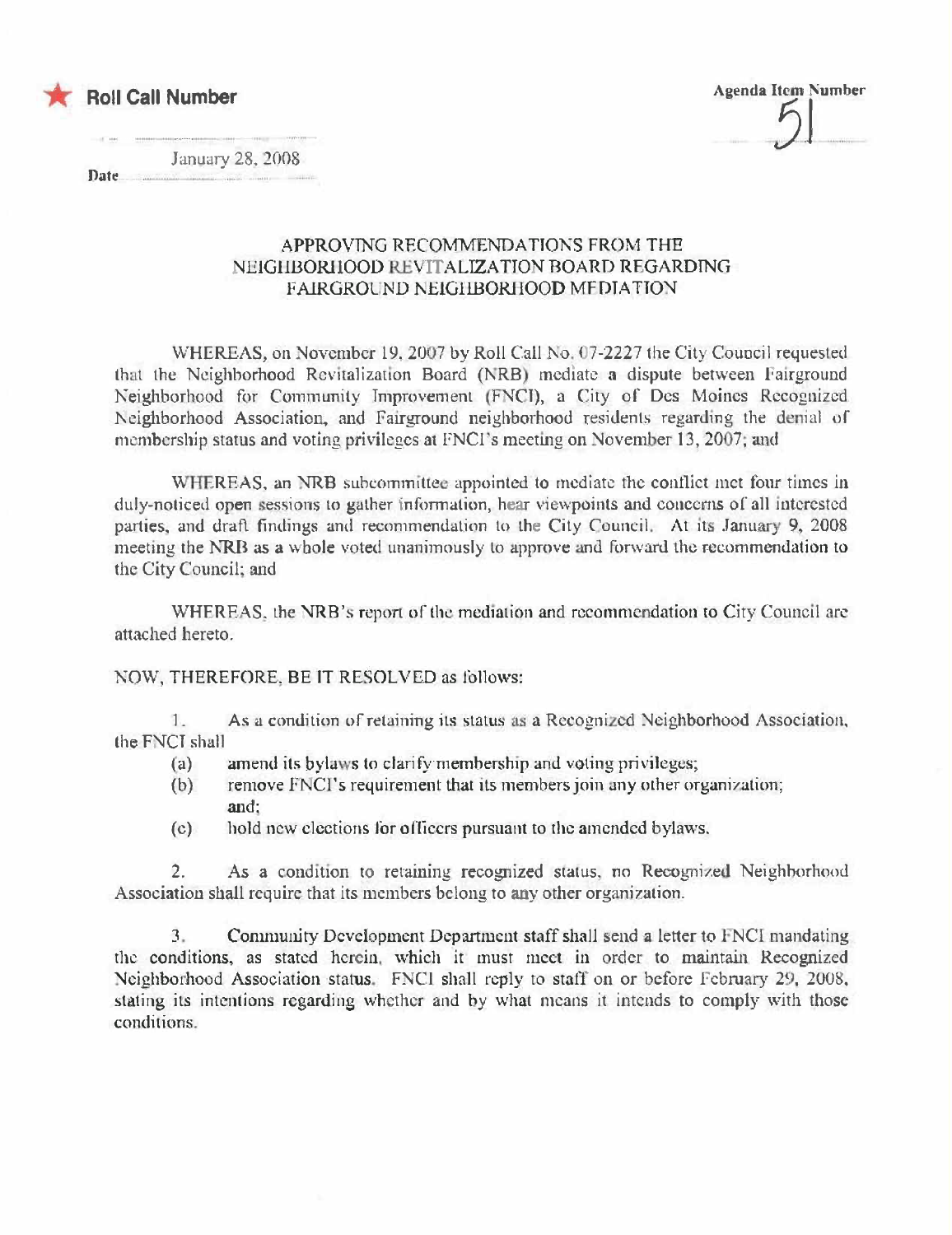

**Agenda Item Number** 

January 28, 2008

Date.

## APPROVING RECOMMENDATIONS FROM THE NEIGHBORIIOOD REVITALIZATION BOARD REGARDING **FAIRGROUND NEIGHBORHOOD MEDIATION**

WHEREAS, on November 19, 2007 by Roll Call No. 07-2227 the City Council requested that the Neighborhood Revitalization Board (NRB) mediate a dispute between Fairground Neighborhood for Community Improvement (FNCI), a City of Des Moines Recognized Neighborhood Association, and Fairground neighborhood residents regarding the denial of membership status and voting privileges at FNCI's meeting on November 13, 2007; and

WHEREAS, an NRB subcommittee appointed to mediate the conflict met four times in duly-noticed open sessions to gather information, hear viewpoints and concerns of all interested parties, and draft findings and recommendation to the City Council. At its January 9, 2008 meeting the NRB as a whole voted unanimously to approve and forward the recommendation to the City Council; and

WHEREAS, the NRB's report of the mediation and recommendation to City Council are attached hereto.

NOW, THEREFORE, BE IT RESOLVED as follows:

As a condition of retaining its status as a Recognized Neighborhood Association, 1. the FNCI shall

- amend its bylaws to clarify membership and voting privileges;  $(a)$
- remove FNCI's requirement that its members join any other organization;  $(b)$ and:
- hold new elections for officers pursuant to the amended bylaws.  $(c)$

 $2.$ As a condition to retaining recognized status, no Recognized Neighborhood Association shall require that its members belong to any other organization.

 $3<sub>1</sub>$ Community Development Department staff shall send a letter to FNCI mandating the conditions, as stated herein, which it must meet in order to maintain Recognized Neighborhood Association status. FNCI shall reply to staff on or before February 29, 2008, stating its intentions regarding whether and by what means it intends to comply with those conditions.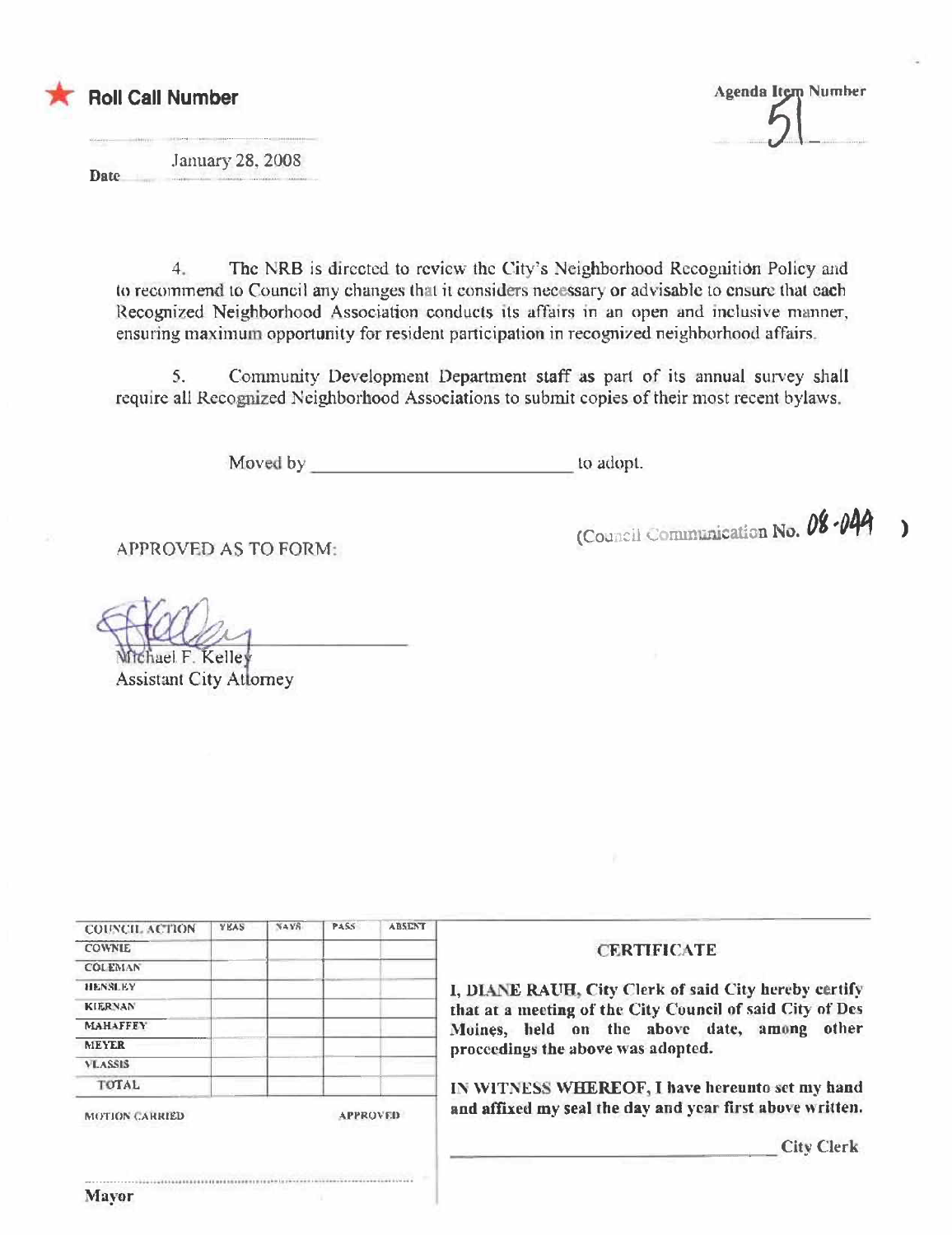

**Agenda Item Number** 

January 28, 2008 Date

> The NRB is directed to review the City's Neighborhood Recognition Policy and  $4$ to recommend to Council any changes that it considers necessary or advisable to ensure that each Recognized Neighborhood Association conducts its affairs in an open and inclusive manner, ensuring maximum opportunity for resident participation in recognized neighborhood affairs.

> Community Development Department staff as part of its annual survey shall  $5.$ require all Recognized Neighborhood Associations to submit copies of their most recent bylaws.

> > Moved by to adopt.

**APPROVED AS TO FORM:** 

(Council Communication No. 08-044  $\overline{\phantom{a}}$ 

uael F. Kelley **Assistant City Atlorney** 

|                                                           | <b>ABSENT</b>                            | <b>PASS</b> | <b>NAVS</b> | <b>YEAS</b> | <b>COUNCIL ACTION</b> |
|-----------------------------------------------------------|------------------------------------------|-------------|-------------|-------------|-----------------------|
| <b>CERTIFICATE</b>                                        |                                          |             |             |             | <b>COWNLE</b>         |
|                                                           |                                          |             |             |             | <b>COLEMAN</b>        |
| I, DIANE RAUH, City Clerk of said City hereby certify     |                                          |             |             |             | <b>HENSLEY</b>        |
| that at a meeting of the City Council of said City of Des |                                          |             |             |             | <b>KIERNAN</b>        |
| Moines, held on the above date, among<br>other            |                                          |             |             |             | <b>MAHAFFEY</b>       |
| proceedings the above was adopted.                        |                                          |             |             |             | <b>MEYER</b>          |
|                                                           |                                          |             |             |             | <b>VLASSIS</b>        |
| IN WITNESS WHEREOF, I have hereunto set my hand           |                                          |             |             |             | <b>TOTAL</b>          |
| and affixed my seal the day and year first above written. | <b>MOTION CARRIED</b><br><b>APPROVED</b> |             |             |             |                       |
| <b>City Clerk</b>                                         |                                          |             |             |             |                       |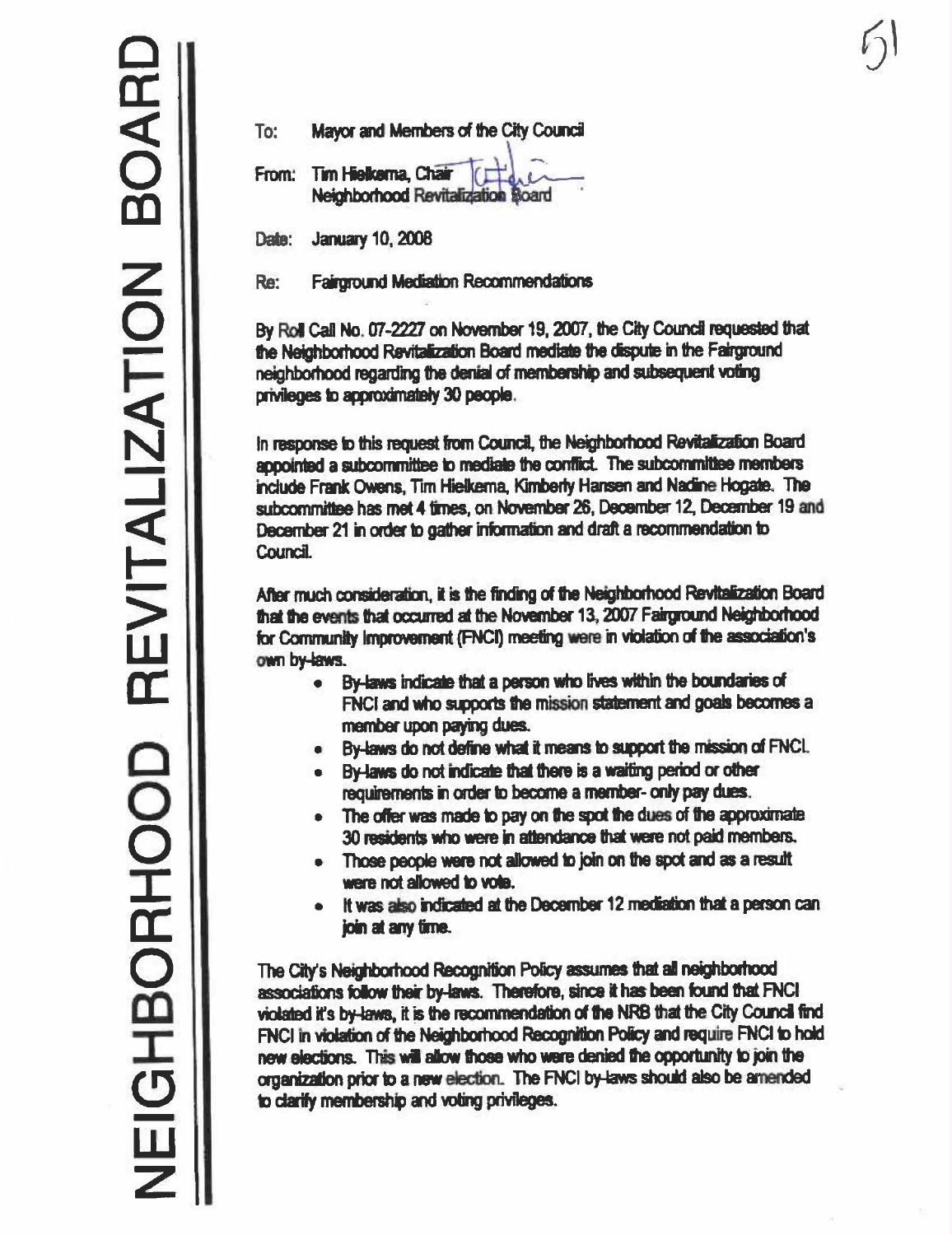| To: | Mayor and Members of the City Council |  |
|-----|---------------------------------------|--|
|     | From: Tim Hielkerna, Chair (Francisco |  |

**Neighborhood Revitalization Board** 

**January 10, 2008** Date:

Re: **Fairground Mediation Recommendations** 

By Roll Call No. 07-2227 on November 19, 2007, the City Council requested that the Neighborhood Revitalization Board mediate the dispute in the Fairground neighborhood regarding the denial of membership and subsequent voting privileges to approximately 30 people.

In response to this request from Council, the Neighborhood Revitalization Board annointed a subcommittee to mediate the conflict. The subcommittee members include Frank Owens, Tim Hielkema, Kimberly Hansen and Nadine Hogate. The subcommittee has met 4 times, on November 26, December 12, December 19 and December 21 in order to gather information and draft a recommendation to Council.

After much consideration, it is the finding of the Neighborhood Revitalization Board that the events that occurred at the November 13, 2007 Fairground Neighborhood for Community Improvement (FNCI) meeting were in violation of the association's own by laws.

- By-laws indicate that a person who lives within the boundaries of  $\bullet$ FNCI and who supports the mission statement and goals becomes a member upon paying dues.
- By-laws do not define what it means to support the mission of FNCI.  $\bullet$
- By-laws do not indicate that there is a waiting period or other  $\bullet$ requirements in order to become a member- only pay dues.
- The offer was made to pay on the spot the dues of the approximate  $\bullet$ 30 residents who were in attendance that were not paid members.
- Those people were not allowed to join on the spot and as a result  $\bullet$ were not allowed to vote.
- It was also indicated at the December 12 mediation that a person can join at any time.

The City's Neighborhood Recognition Policy assumes that all neighborhood associations follow their by-laws. Therefore, since it has been found that FNCI violated it's by-laws, it is the recommendation of the NRB that the City Council find FNCI in violation of the Neighborhood Recognition Policy and require FNCI to hold new elections. This will allow those who were denied the opportunity to join the organization prior to a new election. The FNCI by-laws should also be amended to clarify membership and voting privileges.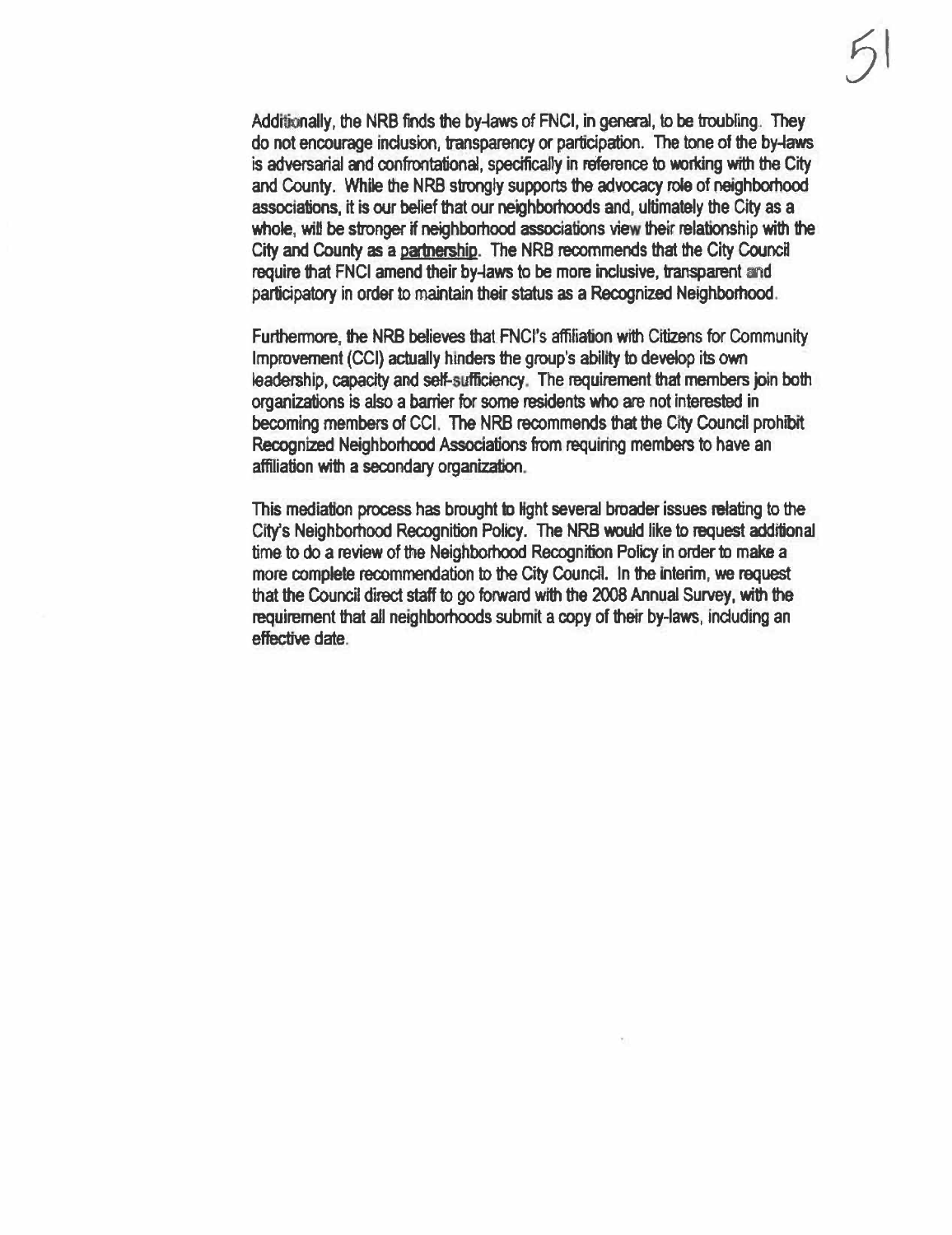Additionally, the NRB finds the by-laws of FNCI, in general, to be troubling. They do not encourage inclusion, transparency or participation. The tone of the by-laws is adversarial and confrontational, specifically in reference to working with the City and County. While the NRB strongly supports the advocacy role of neighborhood associations, it is our belief that our neighborhoods and, ultimately the City as a whole, will be stronger if neighborhood associations view their relationship with the City and County as a partnership. The NRB recommends that the City Council require that FNCI amend their by-laws to be more inclusive, transparent and participatory in order to maintain their status as a Recognized Neighborhood.

Furthermore, the NRB believes that FNCI's affiliation with Citizens for Community Improvement (CCI) actually hinders the group's ability to develop its own leadership, capacity and self-sufficiency. The requirement that members join both organizations is also a barrier for some residents who are not interested in becoming members of CCI. The NRB recommends that the City Council prohibit Recognized Neighborhood Associations from requiring members to have an affiliation with a secondary organization.

This mediation process has brought to light several broader issues relating to the City's Neighborhood Recognition Policy. The NRB would like to request additional time to do a review of the Neighborhood Recognition Policy in order to make a more complete recommendation to the City Council. In the interim, we request that the Council direct staff to go forward with the 2008 Annual Survey, with the requirement that all neighborhoods submit a copy of their by-laws, including an effective date.